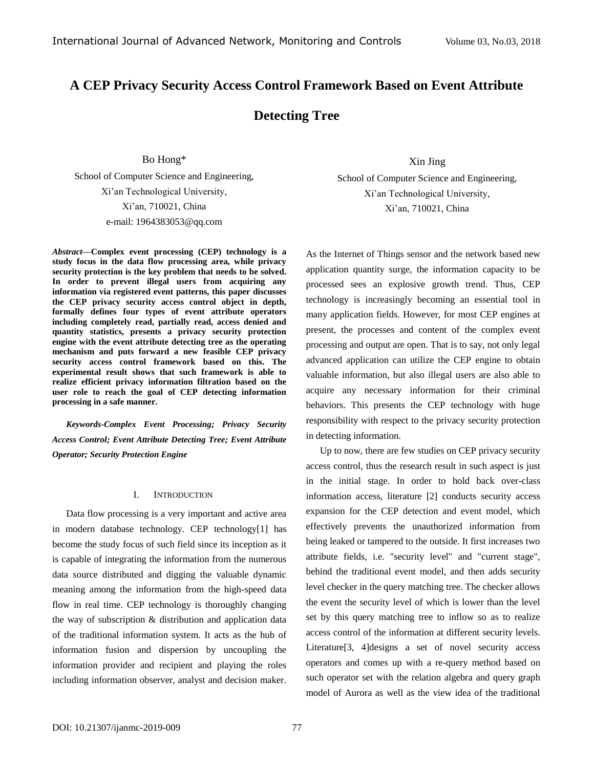# **A CEP Privacy Security Access Control Framework Based on Event Attribute**

## **Detecting Tree**

Bo Hong\*

School of Computer Science and Engineering, Xi'an Technological University, Xi'an, 710021, China e-mail: 1964383053@qq.com

*Abstract—***Complex event processing (CEP) technology is a study focus in the data flow processing area, while privacy security protection is the key problem that needs to be solved. In order to prevent illegal users from acquiring any information via registered event patterns, this paper discusses the CEP privacy security access control object in depth, formally defines four types of event attribute operators including completely read, partially read, access denied and quantity statistics, presents a privacy security protection engine with the event attribute detecting tree as the operating mechanism and puts forward a new feasible CEP privacy security access control framework based on this. The experimental result shows that such framework is able to realize efficient privacy information filtration based on the user role to reach the goal of CEP detecting information processing in a safe manner.** 

*Keywords-Complex Event Processing; Privacy Security Access Control; Event Attribute Detecting Tree; Event Attribute Operator; Security Protection Engine*

## I. INTRODUCTION

Data flow processing is a very important and active area in modern database technology. CEP technology[\[1\]](#page-7-0) has become the study focus of such field since its inception as it is capable of integrating the information from the numerous data source distributed and digging the valuable dynamic meaning among the information from the high-speed data flow in real time. CEP technology is thoroughly changing the way of subscription & distribution and application data of the traditional information system. It acts as the hub of information fusion and dispersion by uncoupling the information provider and recipient and playing the roles including information observer, analyst and decision maker.

Xin Jing

School of Computer Science and Engineering, Xi'an Technological University, Xi'an, 710021, China

As the Internet of Things sensor and the network based new application quantity surge, the information capacity to be processed sees an explosive growth trend. Thus, CEP technology is increasingly becoming an essential tool in many application fields. However, for most CEP engines at present, the processes and content of the complex event processing and output are open. That is to say, not only legal advanced application can utilize the CEP engine to obtain valuable information, but also illegal users are also able to acquire any necessary information for their criminal behaviors. This presents the CEP technology with huge responsibility with respect to the privacy security protection in detecting information.

Up to now, there are few studies on CEP privacy security access control, thus the research result in such aspect is just in the initial stage. In order to hold back over-class information access, literature [\[2\]](#page-7-1) conducts security access expansion for the CEP detection and event model, which effectively prevents the unauthorized information from being leaked or tampered to the outside. It first increases two attribute fields, i.e. "security level" and "current stage", behind the traditional event model, and then adds security level checker in the query matching tree. The checker allows the event the security level of which is lower than the level set by this query matching tree to inflow so as to realize access control of the information at different security levels. Literature[\[3,](#page-7-2) [4\]](#page-7-3)designs a set of novel security access operators and comes up with a re-query method based on such operator set with the relation algebra and query graph model of Aurora as well as the view idea of the traditional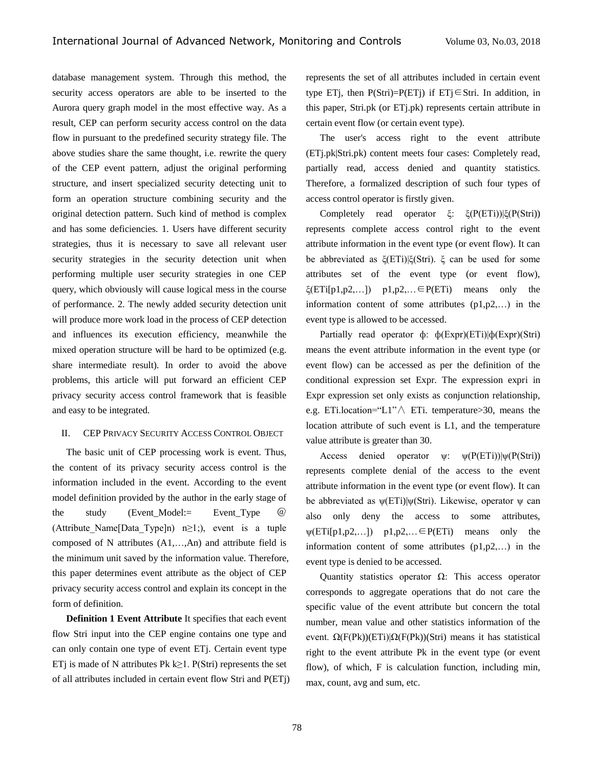database management system. Through this method, the security access operators are able to be inserted to the Aurora query graph model in the most effective way. As a result, CEP can perform security access control on the data flow in pursuant to the predefined security strategy file. The above studies share the same thought, i.e. rewrite the query of the CEP event pattern, adjust the original performing structure, and insert specialized security detecting unit to form an operation structure combining security and the original detection pattern. Such kind of method is complex and has some deficiencies. 1. Users have different security strategies, thus it is necessary to save all relevant user security strategies in the security detection unit when performing multiple user security strategies in one CEP query, which obviously will cause logical mess in the course of performance. 2. The newly added security detection unit will produce more work load in the process of CEP detection and influences its execution efficiency, meanwhile the mixed operation structure will be hard to be optimized (e.g. share intermediate result). In order to avoid the above problems, this article will put forward an efficient CEP privacy security access control framework that is feasible and easy to be integrated.

### II. CEP PRIVACY SECURITY ACCESS CONTROL OBJECT

The basic unit of CEP processing work is event. Thus, the content of its privacy security access control is the information included in the event. According to the event model definition provided by the author in the early stage of the study (Event Model:= Event Type  $\omega$ (Attribute Name[Data Type]n) n≥1;), event is a tuple composed of N attributes (A1,…,An) and attribute field is the minimum unit saved by the information value. Therefore, this paper determines event attribute as the object of CEP privacy security access control and explain its concept in the form of definition.

**Definition 1 Event Attribute** It specifies that each event flow Stri input into the CEP engine contains one type and can only contain one type of event ETj. Certain event type ETj is made of N attributes Pk k $\geq$ 1. P(Stri) represents the set of all attributes included in certain event flow Stri and P(ETj) represents the set of all attributes included in certain event type ETj, then  $P(Stri)=P(ETj)$  if ETj∈Stri. In addition, in this paper, Stri.pk (or ETj.pk) represents certain attribute in certain event flow (or certain event type).

The user's access right to the event attribute (ETj.pk|Stri.pk) content meets four cases: Completely read, partially read, access denied and quantity statistics. Therefore, a formalized description of such four types of access control operator is firstly given.

Completely read operator ξ: ξ(P(ETi))|ξ(P(Stri)) represents complete access control right to the event attribute information in the event type (or event flow). It can be abbreviated as ξ(ETi)|ξ(Stri). ξ can be used for some attributes set of the event type (or event flow),  $\xi(\text{ETi[p1,p2,...]})$  p1,p2,...  $\in$  P(ETi) means only the information content of some attributes (p1,p2,…) in the event type is allowed to be accessed.

Partially read operator ф: ф(Expr)(ETi)|ф(Expr)(Stri) means the event attribute information in the event type (or event flow) can be accessed as per the definition of the conditional expression set Expr. The expression expri in Expr expression set only exists as conjunction relationship, e.g. ETi.location="L1"∧ ETi. temperature>30, means the location attribute of such event is L1, and the temperature value attribute is greater than 30.

Access denied operator  $\psi$ :  $\psi(P(ETi))|\psi(P(Stri))$ represents complete denial of the access to the event attribute information in the event type (or event flow). It can be abbreviated as ψ(ETi)|ψ(Stri). Likewise, operator ψ can also only deny the access to some attributes,  $\psi(\text{ETi[p1,p2,...]})$  p1,p2,...  $\in$  P(ETi) means only the information content of some attributes (p1,p2,…) in the event type is denied to be accessed.

Quantity statistics operator  $Ω$ : This access operator corresponds to aggregate operations that do not care the specific value of the event attribute but concern the total number, mean value and other statistics information of the event.  $\Omega(F(Pk))(ETi)|\Omega(F(Pk))(Stri)$  means it has statistical right to the event attribute Pk in the event type (or event flow), of which, F is calculation function, including min, max, count, avg and sum, etc.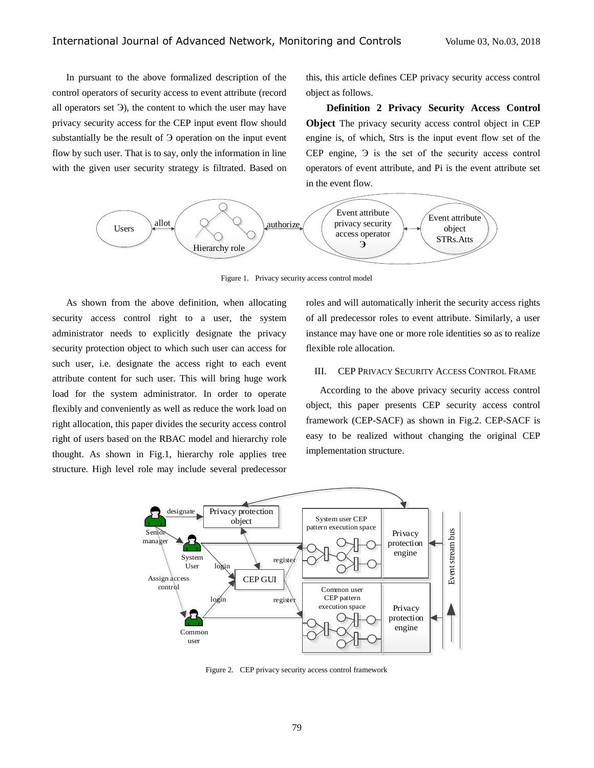In pursuant to the above formalized description of the control operators of security access to event attribute (record all operators set Э), the content to which the user may have privacy security access for the CEP input event flow should substantially be the result of Э operation on the input event flow by such user. That is to say, only the information in line with the given user security strategy is filtrated. Based on

this, this article defines CEP privacy security access control object as follows.

**Definition 2 Privacy Security Access Control Object** The privacy security access control object in CEP engine is, of which, Strs is the input event flow set of the CEP engine, Э is the set of the security access control operators of event attribute, and Pi is the event attribute set in the event flow.



Figure 1. Privacy security access control model

As shown from the above definition, when allocating security access control right to a user, the system administrator needs to explicitly designate the privacy security protection object to which such user can access for such user, i.e. designate the access right to each event attribute content for such user. This will bring huge work load for the system administrator. In order to operate flexibly and conveniently as well as reduce the work load on right allocation, this paper divides the security access control right of users based on the RBAC model and hierarchy role thought. As shown in Fig.1, hierarchy role applies tree structure. High level role may include several predecessor

roles and will automatically inherit the security access rights of all predecessor roles to event attribute. Similarly, a user instance may have one or more role identities so as to realize flexible role allocation.

### III. CEP PRIVACY SECURITY ACCESS CONTROL FRAME

According to the above privacy security access control object, this paper presents CEP security access control framework (CEP-SACF) as shown in Fig.2. CEP-SACF is easy to be realized without changing the original CEP implementation structure.



Figure 2. CEP privacy security access control framework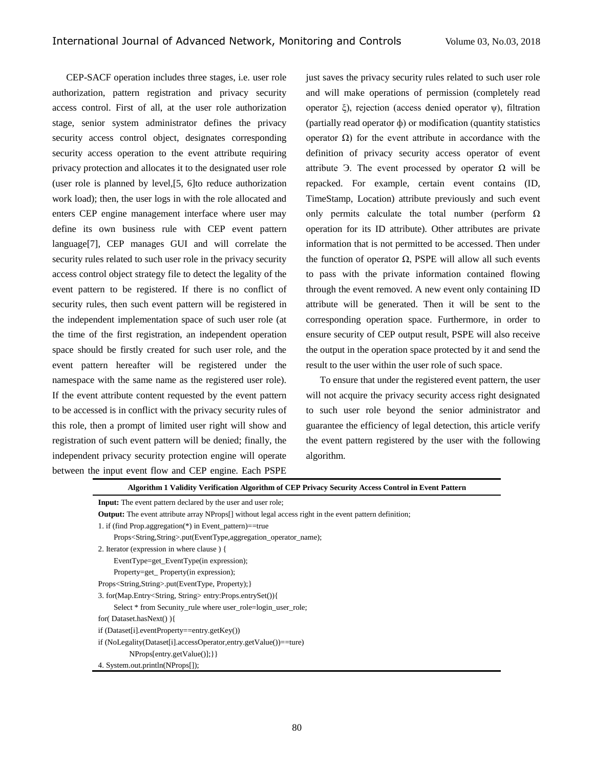CEP-SACF operation includes three stages, i.e. user role authorization, pattern registration and privacy security access control. First of all, at the user role authorization stage, senior system administrator defines the privacy security access control object, designates corresponding security access operation to the event attribute requiring privacy protection and allocates it to the designated user role (user role is planned by level,[5, 6]to reduce authorization work load); then, the user logs in with the role allocated and enters CEP engine management interface where user may define its own business rule with CEP event pattern language[7], CEP manages GUI and will correlate the security rules related to such user role in the privacy security access control object strategy file to detect the legality of the event pattern to be registered. If there is no conflict of security rules, then such event pattern will be registered in the independent implementation space of such user role (at the time of the first registration, an independent operation space should be firstly created for such user role, and the event pattern hereafter will be registered under the namespace with the same name as the registered user role). If the event attribute content requested by the event pattern to be accessed is in conflict with the privacy security rules of this role, then a prompt of limited user right will show and registration of such event pattern will be denied; finally, the independent privacy security protection engine will operate between the input event flow and CEP engine. Each PSPE

just saves the privacy security rules related to such user role and will make operations of permission (completely read operator ξ), rejection (access denied operator ψ), filtration (partially read operator ф) or modification (quantity statistics operator Ω) for the event attribute in accordance with the definition of privacy security access operator of event attribute Э. The event processed by operator Ω will be repacked. For example, certain event contains (ID, TimeStamp, Location) attribute previously and such event only permits calculate the total number (perform  $\Omega$ ) operation for its ID attribute). Other attributes are private information that is not permitted to be accessed. Then under the function of operator  $Ω$ , PSPE will allow all such events to pass with the private information contained flowing through the event removed. A new event only containing ID attribute will be generated. Then it will be sent to the corresponding operation space. Furthermore, in order to ensure security of CEP output result, PSPE will also receive the output in the operation space protected by it and send the result to the user within the user role of such space.

To ensure that under the registered event pattern, the user will not acquire the privacy security access right designated to such user role beyond the senior administrator and guarantee the efficiency of legal detection, this article verify the event pattern registered by the user with the following algorithm.

| Algorithm 1 Validity Verification Algorithm of CEP Privacy Security Access Control in Event Pattern                       |
|---------------------------------------------------------------------------------------------------------------------------|
| <b>Input:</b> The event pattern declared by the user and user role;                                                       |
| <b>Output:</b> The event attribute array NProps <sup>[]</sup> without legal access right in the event pattern definition; |
| 1. if (find Prop.aggregation(*) in Event_pattern)==true                                                                   |
| Props <string,string>.put(EventType,aggregation_operator_name);</string,string>                                           |
| 2. Iterator (expression in where clause) {                                                                                |
| EventType=get_EventType(in expression);                                                                                   |
| Property=get_Property(in expression);                                                                                     |
| Props <string,string>.put(EventType, Property); }</string,string>                                                         |
| 3. for(Map.Entry <string, string=""> entry:Props.entrySet()){</string,>                                                   |
| Select * from Secunity_rule where user_role=login_user_role;                                                              |
| for(Dataset.hasNext() ){                                                                                                  |
| $if (Dataset[i].eventProperty = = entry.getKey())$                                                                        |
| if (NoLegality(Dataset[i].accessOperator,entry.getValue())==ture)                                                         |
| $NProps[entry.getValue()];\}$                                                                                             |
| 4. System.out.println(NProps[1);                                                                                          |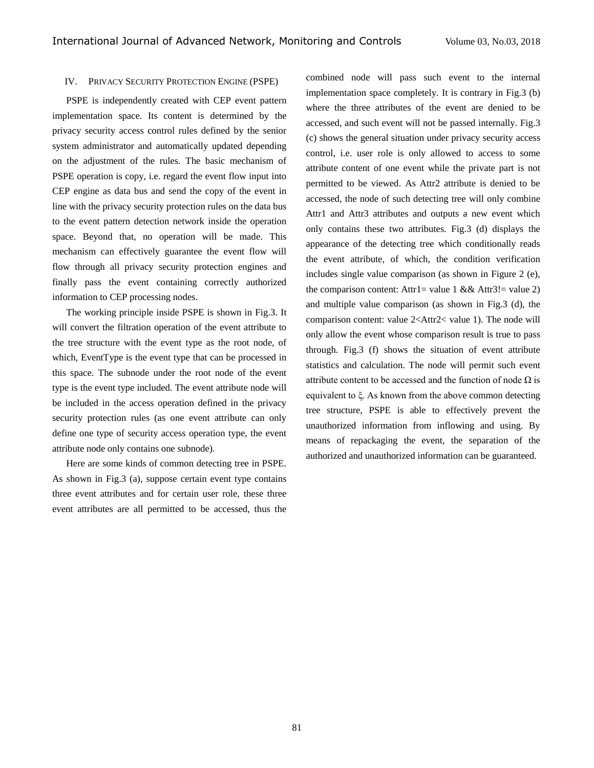#### IV. PRIVACY SECURITY PROTECTION ENGINE (PSPE)

PSPE is independently created with CEP event pattern implementation space. Its content is determined by the privacy security access control rules defined by the senior system administrator and automatically updated depending on the adjustment of the rules. The basic mechanism of PSPE operation is copy, i.e. regard the event flow input into CEP engine as data bus and send the copy of the event in line with the privacy security protection rules on the data bus to the event pattern detection network inside the operation space. Beyond that, no operation will be made. This mechanism can effectively guarantee the event flow will flow through all privacy security protection engines and finally pass the event containing correctly authorized information to CEP processing nodes.

The working principle inside PSPE is shown in Fig.3. It will convert the filtration operation of the event attribute to the tree structure with the event type as the root node, of which, EventType is the event type that can be processed in this space. The subnode under the root node of the event type is the event type included. The event attribute node will be included in the access operation defined in the privacy security protection rules (as one event attribute can only define one type of security access operation type, the event attribute node only contains one subnode).

Here are some kinds of common detecting tree in PSPE. As shown in Fig.3 (a), suppose certain event type contains three event attributes and for certain user role, these three event attributes are all permitted to be accessed, thus the

combined node will pass such event to the internal implementation space completely. It is contrary in Fig.3 (b) where the three attributes of the event are denied to be accessed, and such event will not be passed internally. Fig.3 (c) shows the general situation under privacy security access control, i.e. user role is only allowed to access to some attribute content of one event while the private part is not permitted to be viewed. As Attr2 attribute is denied to be accessed, the node of such detecting tree will only combine Attr1 and Attr3 attributes and outputs a new event which only contains these two attributes. Fig.3 (d) displays the appearance of the detecting tree which conditionally reads the event attribute, of which, the condition verification includes single value comparison (as shown in Figure 2 (e), the comparison content: Attr1= value 1 && Attr3!= value 2) and multiple value comparison (as shown in Fig.3 (d), the comparison content: value 2<Attr2< value 1). The node will only allow the event whose comparison result is true to pass through. Fig.3 (f) shows the situation of event attribute statistics and calculation. The node will permit such event attribute content to be accessed and the function of node  $\Omega$  is equivalent to ξ. As known from the above common detecting tree structure, PSPE is able to effectively prevent the unauthorized information from inflowing and using. By means of repackaging the event, the separation of the authorized and unauthorized information can be guaranteed.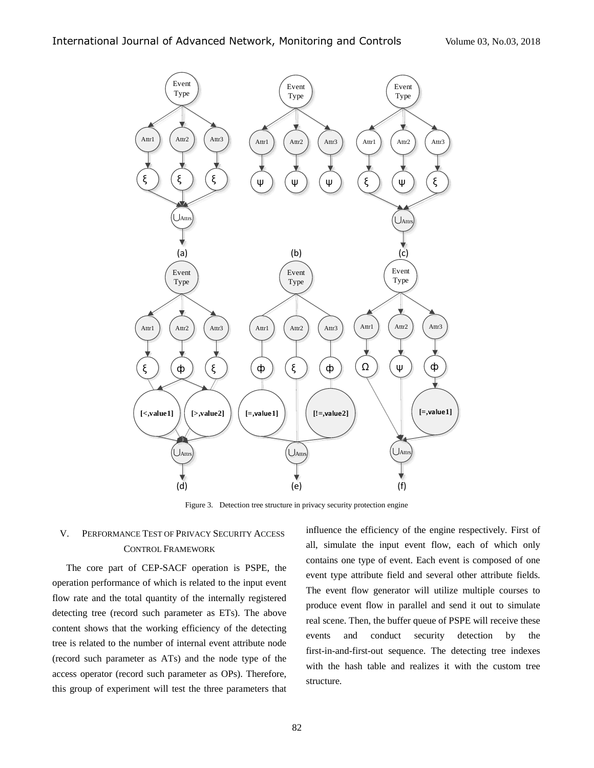

Figure 3. Detection tree structure in privacy security protection engine

## V. PERFORMANCE TEST OF PRIVACY SECURITY ACCESS CONTROL FRAMEWORK

The core part of CEP-SACF operation is PSPE, the operation performance of which is related to the input event flow rate and the total quantity of the internally registered detecting tree (record such parameter as ETs). The above content shows that the working efficiency of the detecting tree is related to the number of internal event attribute node (record such parameter as ATs) and the node type of the access operator (record such parameter as OPs). Therefore, this group of experiment will test the three parameters that

influence the efficiency of the engine respectively. First of all, simulate the input event flow, each of which only contains one type of event. Each event is composed of one event type attribute field and several other attribute fields. The event flow generator will utilize multiple courses to produce event flow in parallel and send it out to simulate real scene. Then, the buffer queue of PSPE will receive these events and conduct security detection by the first-in-and-first-out sequence. The detecting tree indexes with the hash table and realizes it with the custom tree structure.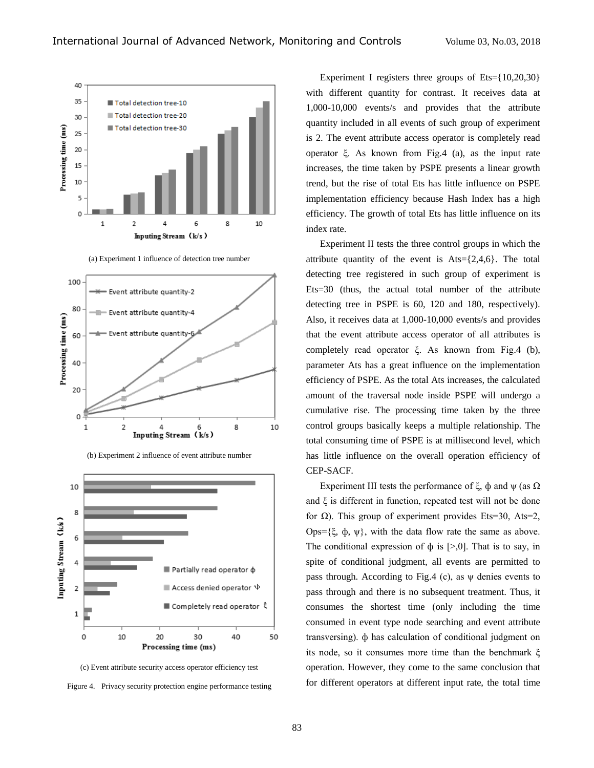

(a) Experiment 1 influence of detection tree number





(b) Experiment 2 influence of event attribute number

(c) Event attribute security access operator efficiency test Figure 4. Privacy security protection engine performance testing

Experiment I registers three groups of  $Ets = \{10,20,30\}$ with different quantity for contrast. It receives data at 1,000-10,000 events/s and provides that the attribute quantity included in all events of such group of experiment is 2. The event attribute access operator is completely read operator ξ. As known from Fig.4 (a), as the input rate increases, the time taken by PSPE presents a linear growth trend, but the rise of total Ets has little influence on PSPE implementation efficiency because Hash Index has a high efficiency. The growth of total Ets has little influence on its index rate.

Experiment II tests the three control groups in which the attribute quantity of the event is  $Ats = \{2, 4, 6\}$ . The total detecting tree registered in such group of experiment is Ets=30 (thus, the actual total number of the attribute detecting tree in PSPE is 60, 120 and 180, respectively). Also, it receives data at 1,000-10,000 events/s and provides that the event attribute access operator of all attributes is completely read operator ξ. As known from Fig.4 (b), parameter Ats has a great influence on the implementation efficiency of PSPE. As the total Ats increases, the calculated amount of the traversal node inside PSPE will undergo a cumulative rise. The processing time taken by the three control groups basically keeps a multiple relationship. The total consuming time of PSPE is at millisecond level, which has little influence on the overall operation efficiency of CEP-SACF.

Experiment III tests the performance of  $\xi$ ,  $\phi$  and  $\psi$  (as  $\Omega$ ) and  $\xi$  is different in function, repeated test will not be done for  $\Omega$ ). This group of experiment provides Ets=30, Ats=2, Ops={ξ, φ, ψ}, with the data flow rate the same as above. The conditional expression of  $\phi$  is  $[>0]$ . That is to say, in spite of conditional judgment, all events are permitted to pass through. According to Fig.4 (c), as ψ denies events to pass through and there is no subsequent treatment. Thus, it consumes the shortest time (only including the time consumed in event type node searching and event attribute transversing). ф has calculation of conditional judgment on its node, so it consumes more time than the benchmark ξ operation. However, they come to the same conclusion that for different operators at different input rate, the total time